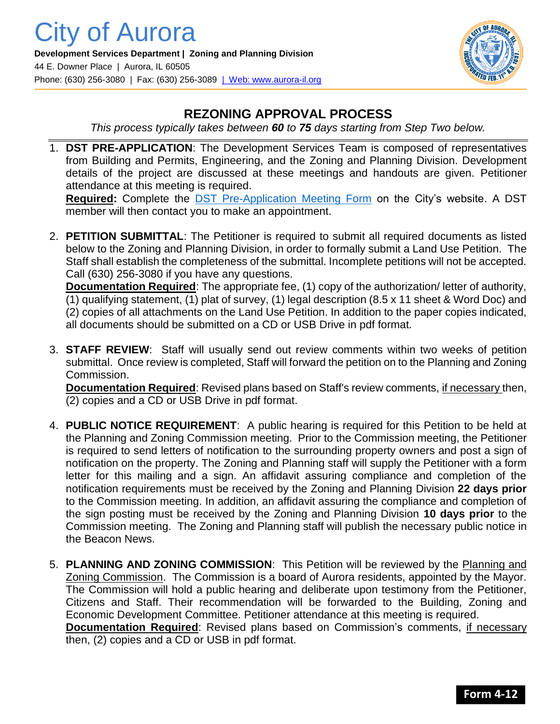

## **REZONING APPROVAL PROCESS**

*This process typically takes between 60 to 75 days starting from Step Two below.*

1. **DST PRE-APPLICATION**: The Development Services Team is composed of representatives from Building and Permits, Engineering, and the Zoning and Planning Division. Development details of the project are discussed at these meetings and handouts are given. Petitioner attendance at this meeting is required.

**Required:** Complete the [DST Pre-Application Meeting Form](https://www.aurora-il.org/FormCenter/Planning-Zoning-15/Development-Services-Team-DST-Meeting-Re-63) on the City's website. A DST member will then contact you to make an appointment.

2. **PETITION SUBMITTAL**: The Petitioner is required to submit all required documents as listed below to the Zoning and Planning Division, in order to formally submit a Land Use Petition. The Staff shall establish the completeness of the submittal. Incomplete petitions will not be accepted. Call (630) 256-3080 if you have any questions.

**Documentation Required**: The appropriate fee, (1) copy of the authorization/ letter of authority, (1) qualifying statement, (1) plat of survey, (1) legal description (8.5 x 11 sheet & Word Doc) and (2) copies of all attachments on the Land Use Petition. In addition to the paper copies indicated, all documents should be submitted on a CD or USB Drive in pdf format.

3. **STAFF REVIEW**: Staff will usually send out review comments within two weeks of petition submittal. Once review is completed, Staff will forward the petition on to the Planning and Zoning Commission.

**Documentation Required**: Revised plans based on Staff's review comments, if necessary then, (2) copies and a CD or USB Drive in pdf format.

- 4. **PUBLIC NOTICE REQUIREMENT**: A public hearing is required for this Petition to be held at the Planning and Zoning Commission meeting. Prior to the Commission meeting, the Petitioner is required to send letters of notification to the surrounding property owners and post a sign of notification on the property. The Zoning and Planning staff will supply the Petitioner with a form letter for this mailing and a sign. An affidavit assuring compliance and completion of the notification requirements must be received by the Zoning and Planning Division **22 days prior**  to the Commission meeting. In addition, an affidavit assuring the compliance and completion of the sign posting must be received by the Zoning and Planning Division **10 days prior** to the Commission meeting. The Zoning and Planning staff will publish the necessary public notice in the Beacon News.
- 5. **PLANNING AND ZONING COMMISSION**: This Petition will be reviewed by the Planning and Zoning Commission. The Commission is a board of Aurora residents, appointed by the Mayor. The Commission will hold a public hearing and deliberate upon testimony from the Petitioner, Citizens and Staff. Their recommendation will be forwarded to the Building, Zoning and Economic Development Committee. Petitioner attendance at this meeting is required. **Documentation Required**: Revised plans based on Commission's comments, if necessary

then, (2) copies and a CD or USB in pdf format.